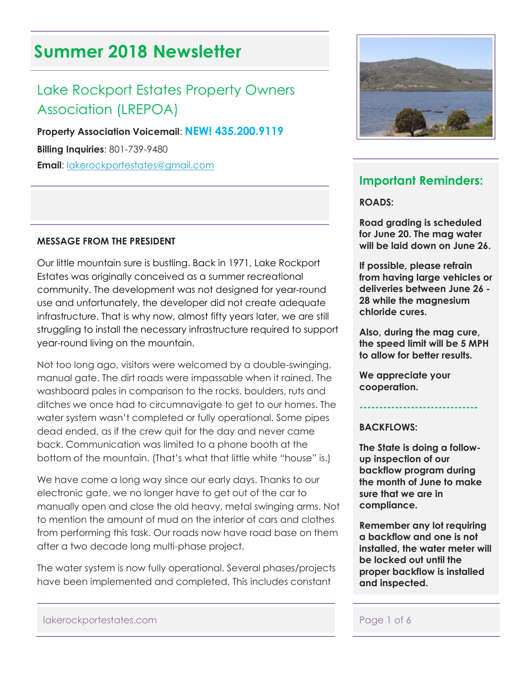# **Summer 2018 Newsletter**

# Lake Rockport Estates Property Owners Association (LREPOA)

**Property Association Voicemail**: **NEW! 435.200.9119**

**Billing Inquiries**: 801-739-9480

**Email**: [lakerockportestates@gmail.com](mailto:lakerockportestates@gmail.com)

#### **MESSAGE FROM THE PRESIDENT**

Our little mountain sure is bustling. Back in 1971, Lake Rockport Estates was originally conceived as a summer recreational community. The development was not designed for year-round use and unfortunately, the developer did not create adequate infrastructure. That is why now, almost fifty years later, we are still struggling to install the necessary infrastructure required to support year-round living on the mountain.

Not too long ago, visitors were welcomed by a double-swinging, manual gate. The dirt roads were impassable when it rained. The washboard pales in comparison to the rocks, boulders, ruts and ditches we once had to circumnavigate to get to our homes. The water system wasn't completed or fully operational. Some pipes dead ended, as if the crew quit for the day and never came back. Communication was limited to a phone booth at the bottom of the mountain. (That's what that little white "house" is.)

We have come a long way since our early days. Thanks to our electronic gate, we no longer have to get out of the car to manually open and close the old heavy, metal swinging arms. Not to mention the amount of mud on the interior of cars and clothes from performing this task. Our roads now have road base on them after a two decade long multi-phase project.

The water system is now fully operational. Several phases/projects have been implemented and completed. This includes constant



## **Important Reminders:**

**ROADS:**

**Road grading is scheduled for June 20. The mag water will be laid down on June 26.** 

**If possible, please refrain from having large vehicles or deliveries between June 26 - 28 while the magnesium chloride cures.** 

**Also, during the mag cure, the speed limit will be 5 MPH to allow for better results.**

**We appreciate your cooperation.**

#### **BACKFLOWS:**

**The State is doing a followup inspection of our backflow program during the month of June to make sure that we are in compliance.**

**------------------------------**

**Remember any lot requiring a backflow and one is not installed, the water meter will be locked out until the proper backflow is installed and inspected.**

lakerockportestates.com entry and the page 1 of 6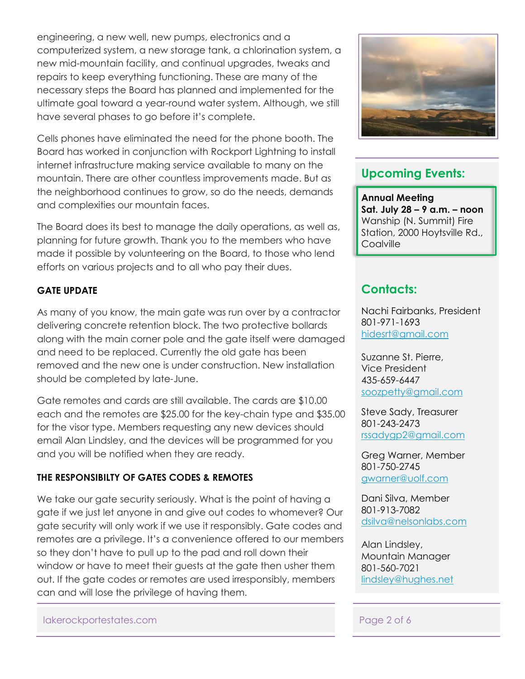engineering, a new well, new pumps, electronics and a computerized system, a new storage tank, a chlorination system, a new mid-mountain facility, and continual upgrades, tweaks and repairs to keep everything functioning. These are many of the necessary steps the Board has planned and implemented for the ultimate goal toward a year-round water system. Although, we still have several phases to go before it's complete.

Cells phones have eliminated the need for the phone booth. The Board has worked in conjunction with Rockport Lightning to install internet infrastructure making service available to many on the mountain. There are other countless improvements made. But as the neighborhood continues to grow, so do the needs, demands and complexities our mountain faces.

The Board does its best to manage the daily operations, as well as, planning for future growth. Thank you to the members who have made it possible by volunteering on the Board, to those who lend efforts on various projects and to all who pay their dues.

## **GATE UPDATE**

As many of you know, the main gate was run over by a contractor delivering concrete retention block. The two protective bollards along with the main corner pole and the gate itself were damaged and need to be replaced. Currently the old gate has been removed and the new one is under construction. New installation should be completed by late-June.

Gate remotes and cards are still available. The cards are \$10.00 each and the remotes are \$25.00 for the key-chain type and \$35.00 for the visor type. Members requesting any new devices should email Alan Lindsley, and the devices will be programmed for you and you will be notified when they are ready.

## **THE RESPONSIBILTY OF GATES CODES & REMOTES**

We take our gate security seriously. What is the point of having a gate if we just let anyone in and give out codes to whomever? Our gate security will only work if we use it responsibly. Gate codes and remotes are a privilege. It's a convenience offered to our members so they don't have to pull up to the pad and roll down their window or have to meet their guests at the gate then usher them out. If the gate codes or remotes are used irresponsibly, members can and will lose the privilege of having them.





## **Upcoming Events:**

**Annual Meeting Sat. July 28 – 9 a.m. – noon** Wanship (N. Summit) Fire Station, 2000 Hoytsville Rd., **Coalville** 

## **Contacts:**

Nachi Fairbanks, President 801-971-1693 [hidesrt@gmail.com](mailto:hidesrt@gmail.com)

Suzanne St. Pierre, Vice President 435-659-6447 [soozpetty@gmail.com](mailto:soozpetty@gmail.com)

Steve Sady, Treasurer 801-243-2473 [rssadygp2@gmail.com](mailto:rssadygp2@gmail.com)

Greg Warner, Member 801-750-2745 [gwarner@uolf.com](mailto:gwarner@uolf.com)

Dani Silva, Member 801-913-7082 [dsilva@nelsonlabs.com](mailto:dsilva@nelsonlabs.com)

Alan Lindsley, Mountain Manager 801-560-7021 [lindsley@hughes.net](mailto:lindsley@hughes.net)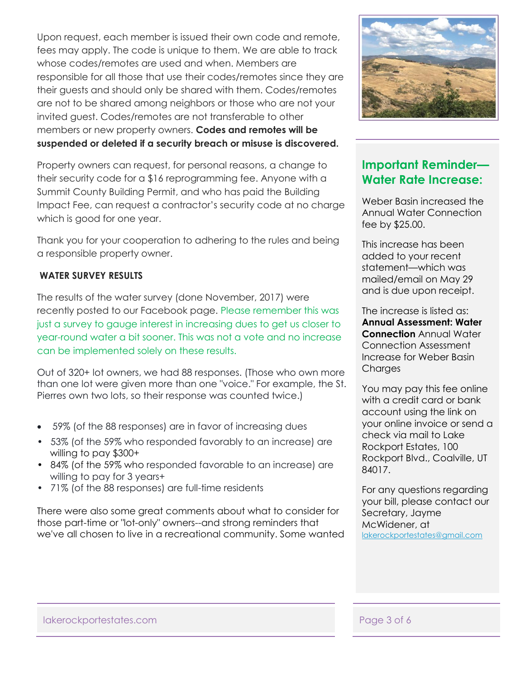Upon request, each member is issued their own code and remote, fees may apply. The code is unique to them. We are able to track whose codes/remotes are used and when. Members are responsible for all those that use their codes/remotes since they are their guests and should only be shared with them. Codes/remotes are not to be shared among neighbors or those who are not your invited guest. Codes/remotes are not transferable to other members or new property owners. **Codes and remotes will be suspended or deleted if a security breach or misuse is discovered.** 

Property owners can request, for personal reasons, a change to their security code for a \$16 reprogramming fee. Anyone with a Summit County Building Permit, and who has paid the Building Impact Fee, can request a contractor's security code at no charge which is good for one year.

Thank you for your cooperation to adhering to the rules and being a responsible property owner.

### **WATER SURVEY RESULTS**

The results of the water survey (done November, 2017) were recently posted to our Facebook page. Please remember this was just a survey to gauge interest in increasing dues to get us closer to year-round water a bit sooner. This was not a vote and no increase can be implemented solely on these results.

Out of 320+ lot owners, we had 88 responses. (Those who own more than one lot were given more than one "voice." For example, the St. Pierres own two lots, so their response was counted twice.)

- 59% (of the 88 responses) are in favor of increasing dues
- 53% (of the 59% who responded favorably to an increase) are willing to pay \$300+
- 84% (of the 59% who responded favorable to an increase) are willing to pay for 3 years+
- 71% (of the 88 responses) are full-time residents

There were also some great comments about what to consider for those part-time or "lot-only" owners--and strong reminders that we've all chosen to live in a recreational community. Some wanted



## **Important Reminder— Water Rate Increase:**

Weber Basin increased the Annual Water Connection fee by \$25.00.

This increase has been added to your recent statement—which was mailed/email on May 29 and is due upon receipt.

The increase is listed as: **Annual Assessment: Water Connection** Annual Water Connection Assessment Increase for Weber Basin Charges

You may pay this fee online with a credit card or bank account using the link on your online invoice or send a check via mail to Lake Rockport Estates, 100 Rockport Blvd., Coalville, UT 84017.

For any questions regarding your bill, please contact our Secretary, Jayme McWidener, at [lakerockportestates@gmail.com](mailto:lakerockportestates@gmail.com)

lakerockportestates.com entry and the page 3 of 6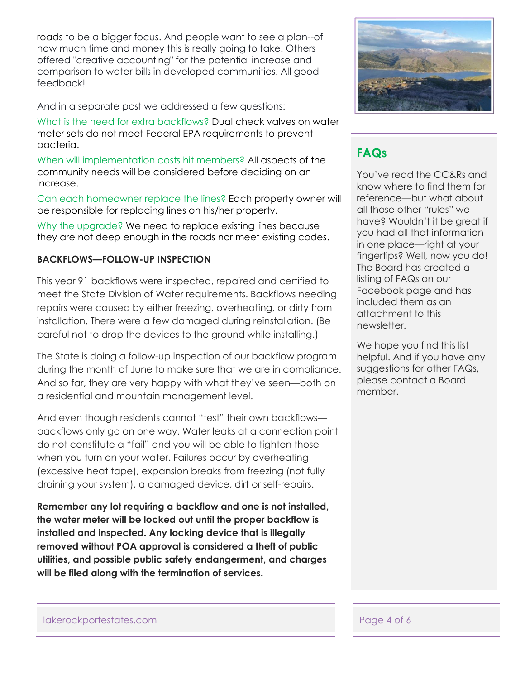roads to be a bigger focus. And people want to see a plan--of how much time and money this is really going to take. Others offered "creative accounting" for the potential increase and comparison to water bills in developed communities. All good feedback!

And in a separate post we addressed a few questions:

What is the need for extra backflows? Dual check valves on water meter sets do not meet Federal EPA requirements to prevent bacteria.

When will implementation costs hit members? All aspects of the community needs will be considered before deciding on an increase.

Can each homeowner replace the lines? Each property owner will be responsible for replacing lines on his/her property.

Why the upgrade? We need to replace existing lines because they are not deep enough in the roads nor meet existing codes.

### **BACKFLOWS—FOLLOW-UP INSPECTION**

This year 91 backflows were inspected, repaired and certified to meet the State Division of Water requirements. Backflows needing repairs were caused by either freezing, overheating, or dirty from installation. There were a few damaged during reinstallation. (Be careful not to drop the devices to the ground while installing.)

The State is doing a follow-up inspection of our backflow program during the month of June to make sure that we are in compliance. And so far, they are very happy with what they've seen—both on a residential and mountain management level.

And even though residents cannot "test" their own backflows backflows only go on one way. Water leaks at a connection point do not constitute a "fail" and you will be able to tighten those when you turn on your water. Failures occur by overheating (excessive heat tape), expansion breaks from freezing (not fully draining your system), a damaged device, dirt or self-repairs.

**Remember any lot requiring a backflow and one is not installed, the water meter will be locked out until the proper backflow is installed and inspected. Any locking device that is illegally removed without POA approval is considered a theft of public utilities, and possible public safety endangerment, and charges will be filed along with the termination of services.** 



## **FAQs**

You've read the CC&Rs and know where to find them for reference—but what about all those other "rules" we have? Wouldn't it be great if you had all that information in one place—right at your fingertips? Well, now you do! The Board has created a listing of FAQs on our Facebook page and has included them as an attachment to this newsletter.

We hope you find this list helpful. And if you have any suggestions for other FAQs, please contact a Board member.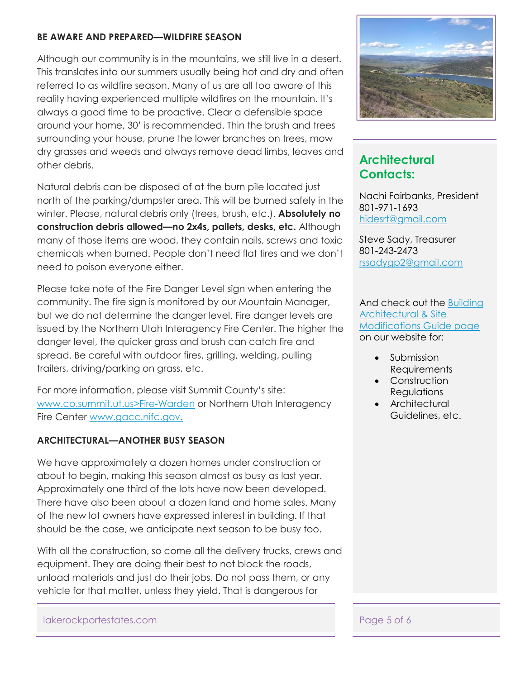## **BE AWARE AND PREPARED—WILDFIRE SEASON**

Although our community is in the mountains, we still live in a desert. This translates into our summers usually being hot and dry and often referred to as wildfire season. Many of us are all too aware of this reality having experienced multiple wildfires on the mountain. It's always a good time to be proactive. Clear a defensible space around your home, 30' is recommended. Thin the brush and trees surrounding your house, prune the lower branches on trees, mow dry grasses and weeds and always remove dead limbs, leaves and other debris.

Natural debris can be disposed of at the burn pile located just north of the parking/dumpster area. This will be burned safely in the winter. Please, natural debris only (trees, brush, etc.). **Absolutely no construction debris allowed—no 2x4s, pallets, desks, etc.** Although many of those items are wood, they contain nails, screws and toxic chemicals when burned. People don't need flat tires and we don't need to poison everyone either.

Please take note of the Fire Danger Level sign when entering the community. The fire sign is monitored by our Mountain Manager, but we do not determine the danger level. Fire danger levels are issued by the Northern Utah Interagency Fire Center. The higher the danger level, the quicker grass and brush can catch fire and spread. Be careful with outdoor fires, grilling, welding, pulling trailers, driving/parking on grass, etc.

For more information, please visit Summit County's site: [www.co.summit.ut.us>Fire-Warden](www.co.summit.ut.us%3eFire-Warden%20) or Northern Utah Interagency Fire Center [www.gacc.nifc.gov.](www.gacc.nifc.gov.%20)

## **ARCHITECTURAL—ANOTHER BUSY SEASON**

We have approximately a dozen homes under construction or about to begin, making this season almost as busy as last year. Approximately one third of the lots have now been developed. There have also been about a dozen land and home sales. Many of the new lot owners have expressed interest in building. If that should be the case, we anticipate next season to be busy too.

With all the construction, so come all the delivery trucks, crews and equipment. They are doing their best to not block the roads, unload materials and just do their jobs. Do not pass them, or any vehicle for that matter, unless they yield. That is dangerous for



## **Architectural Contacts:**

Nachi Fairbanks, President 801-971-1693 [hidesrt@gmail.com](mailto:hidesrt@gmail.com)

Steve Sady, Treasurer 801-243-2473 [rssadygp2@gmail.com](mailto:rssadygp2@gmail.com)

And check out the [Building](http://lakerockportestates.com/id49.html)  [Architectural & Site](http://lakerockportestates.com/id49.html)  [Modifications Guide page](http://lakerockportestates.com/id49.html) on our website for:

- **Submission Requirements**
- Construction **Requlations**
- Architectural Guidelines, etc.

lakerockportestates.com entry and the page 5 of 6